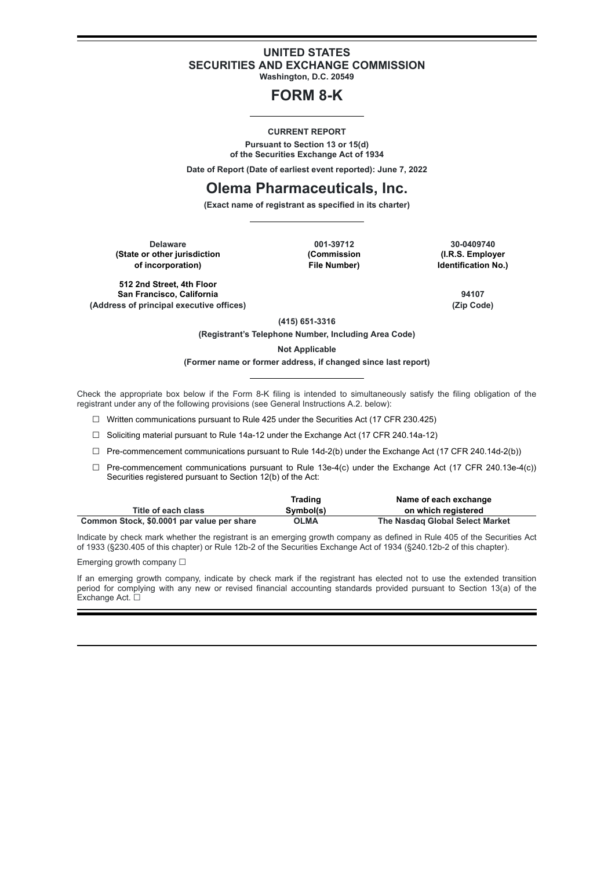## **UNITED STATES SECURITIES AND EXCHANGE COMMISSION**

**Washington, D.C. 20549**

# **FORM 8-K**

#### **CURRENT REPORT**

**Pursuant to Section 13 or 15(d) of the Securities Exchange Act of 1934**

**Date of Report (Date of earliest event reported): June 7, 2022**

## **Olema Pharmaceuticals, Inc.**

**(Exact name of registrant as specified in its charter)**

**Delaware 001-39712 30-0409740 (State or other jurisdiction <b>being in the Commission (Commission of incorporation) File Number) Identification No.)**

**512 2nd Street, 4th Floor San Francisco, California 94107 (Address of principal executive offices) (Zip Code)**

**(415) 651-3316**

**(Registrant's Telephone Number, Including Area Code)**

**Not Applicable**

#### **(Former name or former address, if changed since last report)**

Check the appropriate box below if the Form 8-K filing is intended to simultaneously satisfy the filing obligation of the registrant under any of the following provisions (see General Instructions A.2. below):

☐ Written communications pursuant to Rule 425 under the Securities Act (17 CFR 230.425)

☐ Soliciting material pursuant to Rule 14a-12 under the Exchange Act (17 CFR 240.14a-12)

 $\Box$  Pre-commencement communications pursuant to Rule 14d-2(b) under the Exchange Act (17 CFR 240.14d-2(b))

 $\Box$  Pre-commencement communications pursuant to Rule 13e-4(c) under the Exchange Act (17 CFR 240.13e-4(c)) Securities registered pursuant to Section 12(b) of the Act:

|                                            | Trading   | Name of each exchange           |
|--------------------------------------------|-----------|---------------------------------|
| Title of each class                        | Symbol(s) | on which registered             |
| Common Stock, \$0.0001 par value per share | OLMA      | The Nasdag Global Select Market |

Indicate by check mark whether the registrant is an emerging growth company as defined in Rule 405 of the Securities Act of 1933 (§230.405 of this chapter) or Rule 12b-2 of the Securities Exchange Act of 1934 (§240.12b-2 of this chapter).

Emerging growth company  $\Box$ 

If an emerging growth company, indicate by check mark if the registrant has elected not to use the extended transition period for complying with any new or revised financial accounting standards provided pursuant to Section 13(a) of the Exchange Act. □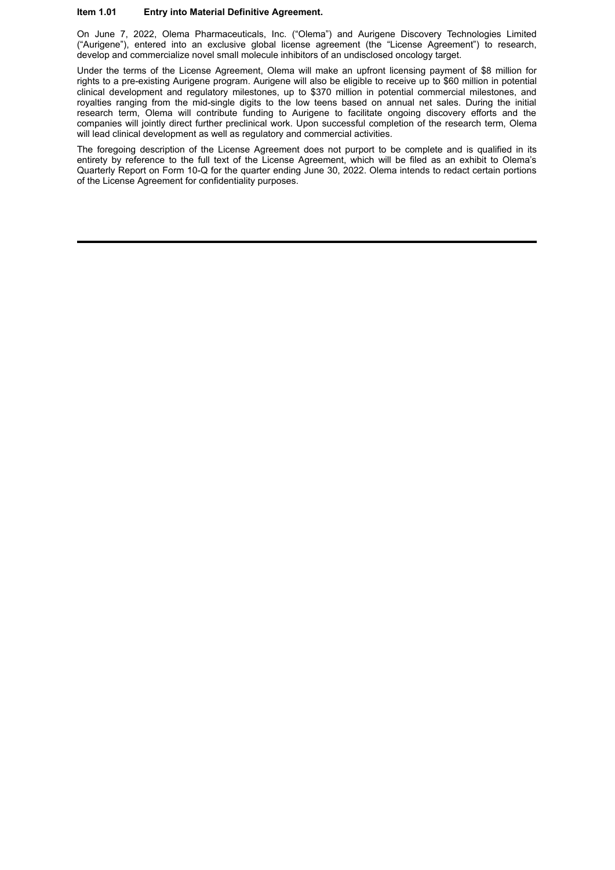### **Item 1.01 Entry into Material Definitive Agreement.**

On June 7, 2022, Olema Pharmaceuticals, Inc. ("Olema") and Aurigene Discovery Technologies Limited ("Aurigene"), entered into an exclusive global license agreement (the "License Agreement") to research, develop and commercialize novel small molecule inhibitors of an undisclosed oncology target.

Under the terms of the License Agreement, Olema will make an upfront licensing payment of \$8 million for rights to a pre-existing Aurigene program. Aurigene will also be eligible to receive up to \$60 million in potential clinical development and regulatory milestones, up to \$370 million in potential commercial milestones, and royalties ranging from the mid-single digits to the low teens based on annual net sales. During the initial research term, Olema will contribute funding to Aurigene to facilitate ongoing discovery efforts and the companies will jointly direct further preclinical work. Upon successful completion of the research term, Olema will lead clinical development as well as regulatory and commercial activities.

The foregoing description of the License Agreement does not purport to be complete and is qualified in its entirety by reference to the full text of the License Agreement, which will be filed as an exhibit to Olema's Quarterly Report on Form 10-Q for the quarter ending June 30, 2022. Olema intends to redact certain portions of the License Agreement for confidentiality purposes.